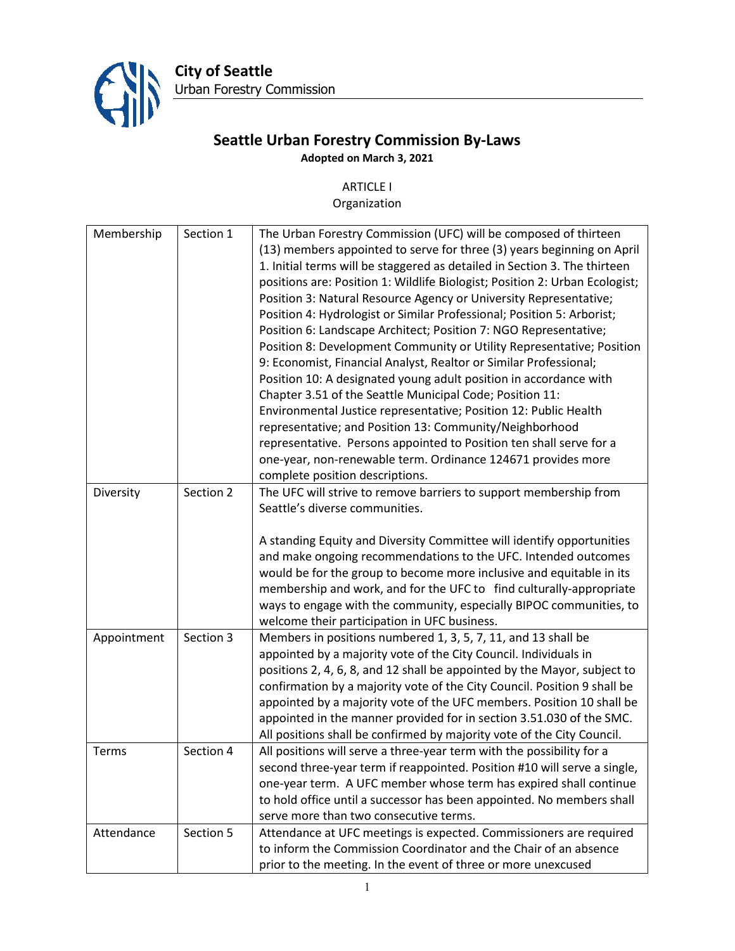

**City of Seattle** Urban Forestry Commission

## **Seattle Urban Forestry Commission By-Laws Adopted on March 3, 2021**

## ARTICLE I

## Organization

| Membership  | Section 1 | The Urban Forestry Commission (UFC) will be composed of thirteen            |
|-------------|-----------|-----------------------------------------------------------------------------|
|             |           | (13) members appointed to serve for three (3) years beginning on April      |
|             |           | 1. Initial terms will be staggered as detailed in Section 3. The thirteen   |
|             |           | positions are: Position 1: Wildlife Biologist; Position 2: Urban Ecologist; |
|             |           | Position 3: Natural Resource Agency or University Representative;           |
|             |           | Position 4: Hydrologist or Similar Professional; Position 5: Arborist;      |
|             |           | Position 6: Landscape Architect; Position 7: NGO Representative;            |
|             |           | Position 8: Development Community or Utility Representative; Position       |
|             |           | 9: Economist, Financial Analyst, Realtor or Similar Professional;           |
|             |           | Position 10: A designated young adult position in accordance with           |
|             |           | Chapter 3.51 of the Seattle Municipal Code; Position 11:                    |
|             |           | Environmental Justice representative; Position 12: Public Health            |
|             |           | representative; and Position 13: Community/Neighborhood                     |
|             |           |                                                                             |
|             |           | representative. Persons appointed to Position ten shall serve for a         |
|             |           | one-year, non-renewable term. Ordinance 124671 provides more                |
|             |           | complete position descriptions.                                             |
| Diversity   | Section 2 | The UFC will strive to remove barriers to support membership from           |
|             |           | Seattle's diverse communities.                                              |
|             |           |                                                                             |
|             |           | A standing Equity and Diversity Committee will identify opportunities       |
|             |           | and make ongoing recommendations to the UFC. Intended outcomes              |
|             |           | would be for the group to become more inclusive and equitable in its        |
|             |           | membership and work, and for the UFC to find culturally-appropriate         |
|             |           | ways to engage with the community, especially BIPOC communities, to         |
|             |           | welcome their participation in UFC business.                                |
| Appointment | Section 3 | Members in positions numbered 1, 3, 5, 7, 11, and 13 shall be               |
|             |           | appointed by a majority vote of the City Council. Individuals in            |
|             |           | positions 2, 4, 6, 8, and 12 shall be appointed by the Mayor, subject to    |
|             |           | confirmation by a majority vote of the City Council. Position 9 shall be    |
|             |           | appointed by a majority vote of the UFC members. Position 10 shall be       |
|             |           | appointed in the manner provided for in section 3.51.030 of the SMC.        |
|             |           |                                                                             |
|             |           | All positions shall be confirmed by majority vote of the City Council.      |
| Terms       | Section 4 | All positions will serve a three-year term with the possibility for a       |
|             |           | second three-year term if reappointed. Position #10 will serve a single,    |
|             |           | one-year term. A UFC member whose term has expired shall continue           |
|             |           | to hold office until a successor has been appointed. No members shall       |
|             |           | serve more than two consecutive terms.                                      |
| Attendance  | Section 5 | Attendance at UFC meetings is expected. Commissioners are required          |
|             |           | to inform the Commission Coordinator and the Chair of an absence            |
|             |           | prior to the meeting. In the event of three or more unexcused               |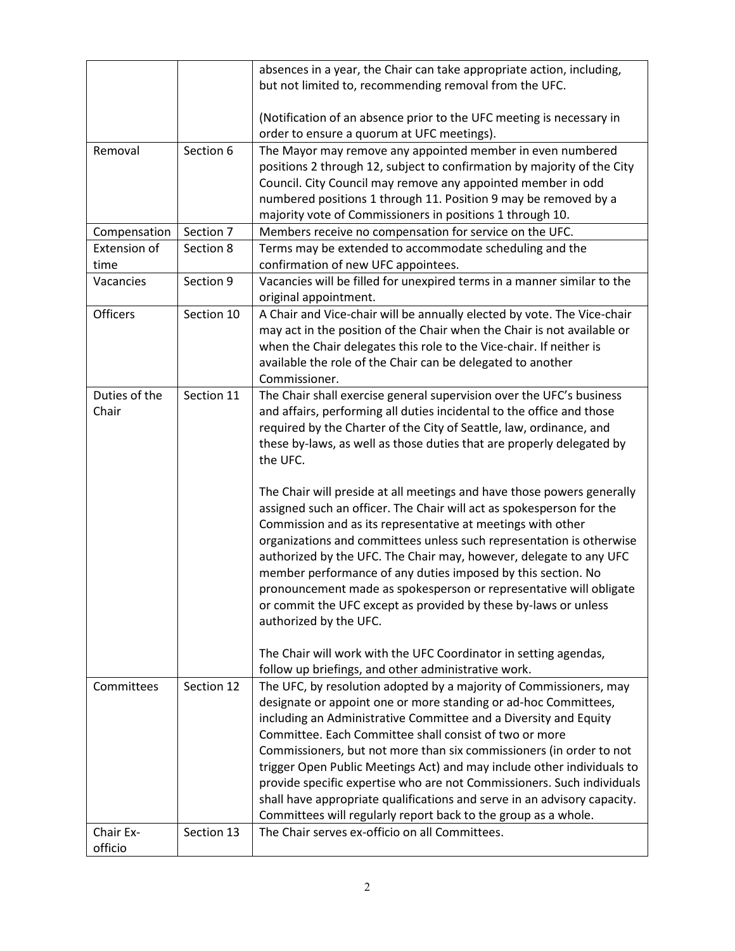|               |            | absences in a year, the Chair can take appropriate action, including,<br>but not limited to, recommending removal from the UFC. |
|---------------|------------|---------------------------------------------------------------------------------------------------------------------------------|
|               |            |                                                                                                                                 |
|               |            | (Notification of an absence prior to the UFC meeting is necessary in                                                            |
|               |            | order to ensure a quorum at UFC meetings).                                                                                      |
| Removal       | Section 6  | The Mayor may remove any appointed member in even numbered                                                                      |
|               |            | positions 2 through 12, subject to confirmation by majority of the City                                                         |
|               |            | Council. City Council may remove any appointed member in odd                                                                    |
|               |            | numbered positions 1 through 11. Position 9 may be removed by a                                                                 |
|               |            | majority vote of Commissioners in positions 1 through 10.                                                                       |
| Compensation  | Section 7  | Members receive no compensation for service on the UFC.                                                                         |
| Extension of  | Section 8  | Terms may be extended to accommodate scheduling and the                                                                         |
| time          |            | confirmation of new UFC appointees.                                                                                             |
| Vacancies     | Section 9  | Vacancies will be filled for unexpired terms in a manner similar to the<br>original appointment.                                |
| Officers      | Section 10 | A Chair and Vice-chair will be annually elected by vote. The Vice-chair                                                         |
|               |            | may act in the position of the Chair when the Chair is not available or                                                         |
|               |            | when the Chair delegates this role to the Vice-chair. If neither is                                                             |
|               |            | available the role of the Chair can be delegated to another                                                                     |
|               |            | Commissioner.                                                                                                                   |
| Duties of the | Section 11 | The Chair shall exercise general supervision over the UFC's business                                                            |
| Chair         |            | and affairs, performing all duties incidental to the office and those                                                           |
|               |            | required by the Charter of the City of Seattle, law, ordinance, and                                                             |
|               |            | these by-laws, as well as those duties that are properly delegated by                                                           |
|               |            | the UFC.                                                                                                                        |
|               |            | The Chair will preside at all meetings and have those powers generally                                                          |
|               |            | assigned such an officer. The Chair will act as spokesperson for the                                                            |
|               |            | Commission and as its representative at meetings with other                                                                     |
|               |            | organizations and committees unless such representation is otherwise                                                            |
|               |            | authorized by the UFC. The Chair may, however, delegate to any UFC                                                              |
|               |            | member performance of any duties imposed by this section. No                                                                    |
|               |            | pronouncement made as spokesperson or representative will obligate                                                              |
|               |            | or commit the UFC except as provided by these by-laws or unless                                                                 |
|               |            | authorized by the UFC.                                                                                                          |
|               |            | The Chair will work with the UFC Coordinator in setting agendas,                                                                |
|               |            | follow up briefings, and other administrative work.                                                                             |
| Committees    | Section 12 | The UFC, by resolution adopted by a majority of Commissioners, may                                                              |
|               |            | designate or appoint one or more standing or ad-hoc Committees,                                                                 |
|               |            | including an Administrative Committee and a Diversity and Equity                                                                |
|               |            | Committee. Each Committee shall consist of two or more                                                                          |
|               |            | Commissioners, but not more than six commissioners (in order to not                                                             |
|               |            | trigger Open Public Meetings Act) and may include other individuals to                                                          |
|               |            | provide specific expertise who are not Commissioners. Such individuals                                                          |
|               |            | shall have appropriate qualifications and serve in an advisory capacity.                                                        |
| Chair Ex-     | Section 13 | Committees will regularly report back to the group as a whole.<br>The Chair serves ex-officio on all Committees.                |
| officio       |            |                                                                                                                                 |
|               |            |                                                                                                                                 |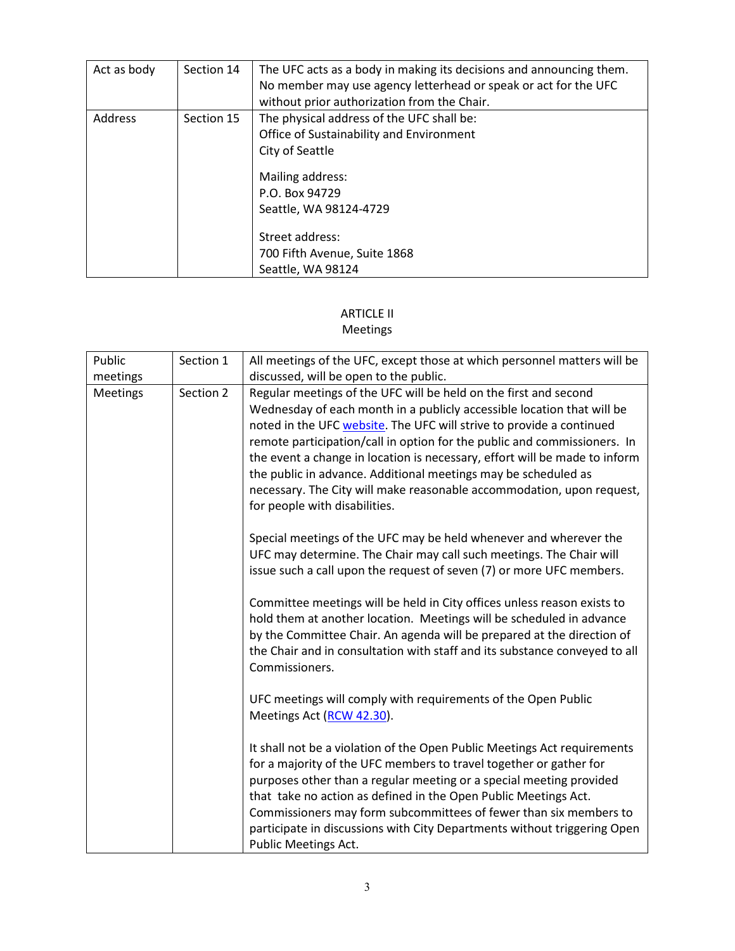| Act as body | Section 14 | The UFC acts as a body in making its decisions and announcing them.<br>No member may use agency letterhead or speak or act for the UFC<br>without prior authorization from the Chair.                                                            |
|-------------|------------|--------------------------------------------------------------------------------------------------------------------------------------------------------------------------------------------------------------------------------------------------|
| Address     | Section 15 | The physical address of the UFC shall be:<br>Office of Sustainability and Environment<br>City of Seattle<br>Mailing address:<br>P.O. Box 94729<br>Seattle, WA 98124-4729<br>Street address:<br>700 Fifth Avenue, Suite 1868<br>Seattle, WA 98124 |

# ARTICLE II

#### Meetings

| Public<br>meetings | Section 1 | All meetings of the UFC, except those at which personnel matters will be<br>discussed, will be open to the public.                                                                                                                                                                                                                                                                                                                                                                                                                                       |
|--------------------|-----------|----------------------------------------------------------------------------------------------------------------------------------------------------------------------------------------------------------------------------------------------------------------------------------------------------------------------------------------------------------------------------------------------------------------------------------------------------------------------------------------------------------------------------------------------------------|
| <b>Meetings</b>    | Section 2 | Regular meetings of the UFC will be held on the first and second<br>Wednesday of each month in a publicly accessible location that will be<br>noted in the UFC website. The UFC will strive to provide a continued<br>remote participation/call in option for the public and commissioners. In<br>the event a change in location is necessary, effort will be made to inform<br>the public in advance. Additional meetings may be scheduled as<br>necessary. The City will make reasonable accommodation, upon request,<br>for people with disabilities. |
|                    |           | Special meetings of the UFC may be held whenever and wherever the<br>UFC may determine. The Chair may call such meetings. The Chair will<br>issue such a call upon the request of seven (7) or more UFC members.                                                                                                                                                                                                                                                                                                                                         |
|                    |           | Committee meetings will be held in City offices unless reason exists to<br>hold them at another location. Meetings will be scheduled in advance<br>by the Committee Chair. An agenda will be prepared at the direction of<br>the Chair and in consultation with staff and its substance conveyed to all<br>Commissioners.                                                                                                                                                                                                                                |
|                    |           | UFC meetings will comply with requirements of the Open Public<br>Meetings Act (RCW 42.30).                                                                                                                                                                                                                                                                                                                                                                                                                                                               |
|                    |           | It shall not be a violation of the Open Public Meetings Act requirements<br>for a majority of the UFC members to travel together or gather for<br>purposes other than a regular meeting or a special meeting provided<br>that take no action as defined in the Open Public Meetings Act.<br>Commissioners may form subcommittees of fewer than six members to<br>participate in discussions with City Departments without triggering Open<br>Public Meetings Act.                                                                                        |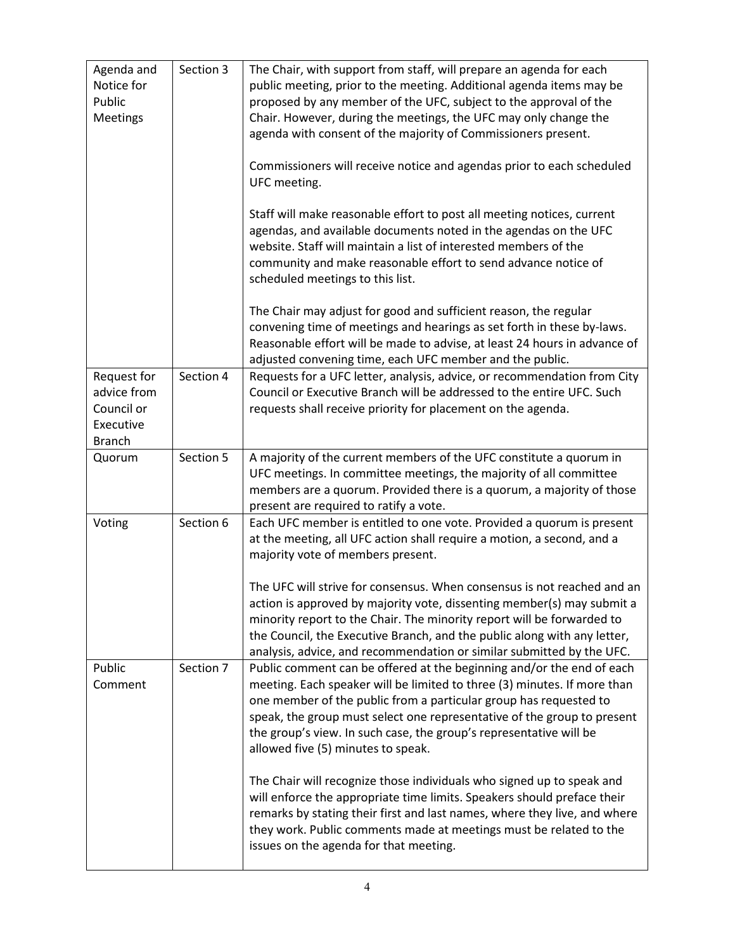| Agenda and<br>Notice for<br>Public<br><b>Meetings</b>                  | Section 3 | The Chair, with support from staff, will prepare an agenda for each<br>public meeting, prior to the meeting. Additional agenda items may be<br>proposed by any member of the UFC, subject to the approval of the<br>Chair. However, during the meetings, the UFC may only change the<br>agenda with consent of the majority of Commissioners present.<br>Commissioners will receive notice and agendas prior to each scheduled<br>UFC meeting.<br>Staff will make reasonable effort to post all meeting notices, current<br>agendas, and available documents noted in the agendas on the UFC<br>website. Staff will maintain a list of interested members of the<br>community and make reasonable effort to send advance notice of<br>scheduled meetings to this list. |
|------------------------------------------------------------------------|-----------|------------------------------------------------------------------------------------------------------------------------------------------------------------------------------------------------------------------------------------------------------------------------------------------------------------------------------------------------------------------------------------------------------------------------------------------------------------------------------------------------------------------------------------------------------------------------------------------------------------------------------------------------------------------------------------------------------------------------------------------------------------------------|
|                                                                        |           | The Chair may adjust for good and sufficient reason, the regular<br>convening time of meetings and hearings as set forth in these by-laws.<br>Reasonable effort will be made to advise, at least 24 hours in advance of<br>adjusted convening time, each UFC member and the public.                                                                                                                                                                                                                                                                                                                                                                                                                                                                                    |
| Request for<br>advice from<br>Council or<br>Executive<br><b>Branch</b> | Section 4 | Requests for a UFC letter, analysis, advice, or recommendation from City<br>Council or Executive Branch will be addressed to the entire UFC. Such<br>requests shall receive priority for placement on the agenda.                                                                                                                                                                                                                                                                                                                                                                                                                                                                                                                                                      |
| Quorum                                                                 | Section 5 | A majority of the current members of the UFC constitute a quorum in<br>UFC meetings. In committee meetings, the majority of all committee<br>members are a quorum. Provided there is a quorum, a majority of those<br>present are required to ratify a vote.                                                                                                                                                                                                                                                                                                                                                                                                                                                                                                           |
| Voting                                                                 | Section 6 | Each UFC member is entitled to one vote. Provided a quorum is present<br>at the meeting, all UFC action shall require a motion, a second, and a<br>majority vote of members present.<br>The UFC will strive for consensus. When consensus is not reached and an<br>action is approved by majority vote, dissenting member(s) may submit a<br>minority report to the Chair. The minority report will be forwarded to<br>the Council, the Executive Branch, and the public along with any letter,<br>analysis, advice, and recommendation or similar submitted by the UFC.                                                                                                                                                                                               |
| Public<br>Comment                                                      | Section 7 | Public comment can be offered at the beginning and/or the end of each<br>meeting. Each speaker will be limited to three (3) minutes. If more than<br>one member of the public from a particular group has requested to<br>speak, the group must select one representative of the group to present<br>the group's view. In such case, the group's representative will be<br>allowed five (5) minutes to speak.<br>The Chair will recognize those individuals who signed up to speak and<br>will enforce the appropriate time limits. Speakers should preface their<br>remarks by stating their first and last names, where they live, and where<br>they work. Public comments made at meetings must be related to the<br>issues on the agenda for that meeting.         |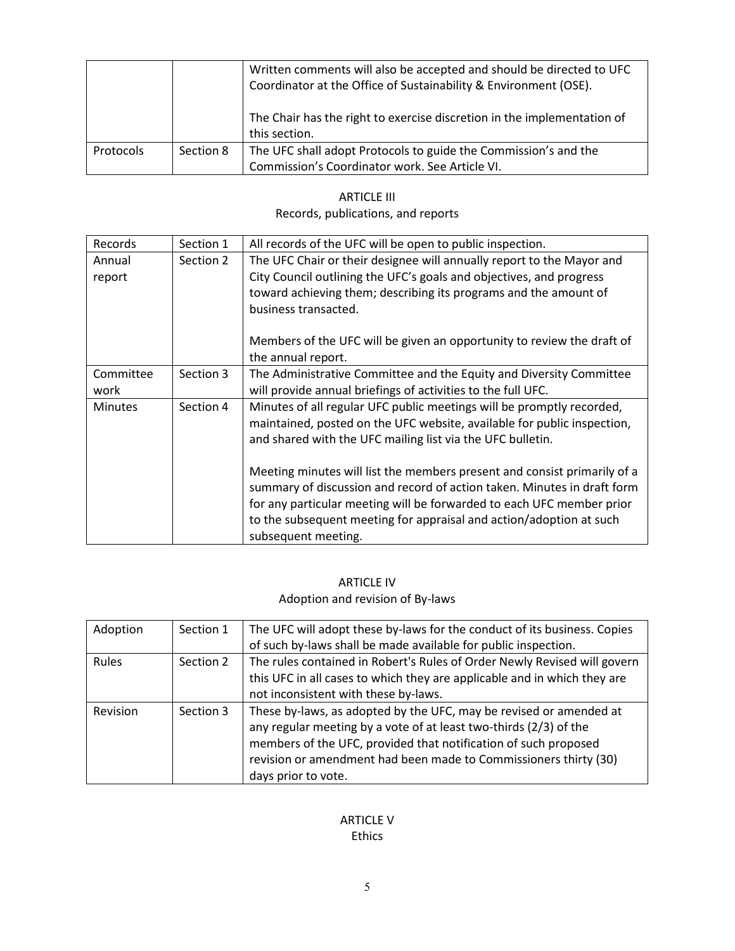|           |           | Written comments will also be accepted and should be directed to UFC<br>Coordinator at the Office of Sustainability & Environment (OSE). |
|-----------|-----------|------------------------------------------------------------------------------------------------------------------------------------------|
|           |           | The Chair has the right to exercise discretion in the implementation of                                                                  |
|           |           | this section.                                                                                                                            |
| Protocols | Section 8 | The UFC shall adopt Protocols to guide the Commission's and the                                                                          |
|           |           | Commission's Coordinator work. See Article VI.                                                                                           |

| <b>ARTICLE III</b>                 |
|------------------------------------|
| Records, publications, and reports |

| Records   | Section 1 | All records of the UFC will be open to public inspection.                                                                                                                                                                                                                                           |
|-----------|-----------|-----------------------------------------------------------------------------------------------------------------------------------------------------------------------------------------------------------------------------------------------------------------------------------------------------|
| Annual    | Section 2 | The UFC Chair or their designee will annually report to the Mayor and                                                                                                                                                                                                                               |
| report    |           | City Council outlining the UFC's goals and objectives, and progress                                                                                                                                                                                                                                 |
|           |           | toward achieving them; describing its programs and the amount of                                                                                                                                                                                                                                    |
|           |           | business transacted.                                                                                                                                                                                                                                                                                |
|           |           | Members of the UFC will be given an opportunity to review the draft of<br>the annual report.                                                                                                                                                                                                        |
| Committee | Section 3 | The Administrative Committee and the Equity and Diversity Committee                                                                                                                                                                                                                                 |
| work      |           | will provide annual briefings of activities to the full UFC.                                                                                                                                                                                                                                        |
| Minutes   | Section 4 | Minutes of all regular UFC public meetings will be promptly recorded,                                                                                                                                                                                                                               |
|           |           | maintained, posted on the UFC website, available for public inspection,                                                                                                                                                                                                                             |
|           |           | and shared with the UFC mailing list via the UFC bulletin.                                                                                                                                                                                                                                          |
|           |           | Meeting minutes will list the members present and consist primarily of a<br>summary of discussion and record of action taken. Minutes in draft form<br>for any particular meeting will be forwarded to each UFC member prior<br>to the subsequent meeting for appraisal and action/adoption at such |
|           |           | subsequent meeting.                                                                                                                                                                                                                                                                                 |

#### ARTICLE IV Adoption and revision of By-laws

| Adoption | Section 1 | The UFC will adopt these by-laws for the conduct of its business. Copies |
|----------|-----------|--------------------------------------------------------------------------|
|          |           | of such by-laws shall be made available for public inspection.           |
| Rules    | Section 2 | The rules contained in Robert's Rules of Order Newly Revised will govern |
|          |           | this UFC in all cases to which they are applicable and in which they are |
|          |           | not inconsistent with these by-laws.                                     |
| Revision | Section 3 | These by-laws, as adopted by the UFC, may be revised or amended at       |
|          |           | any regular meeting by a vote of at least two-thirds (2/3) of the        |
|          |           | members of the UFC, provided that notification of such proposed          |
|          |           | revision or amendment had been made to Commissioners thirty (30)         |
|          |           | days prior to vote.                                                      |

#### ARTICLE V Ethics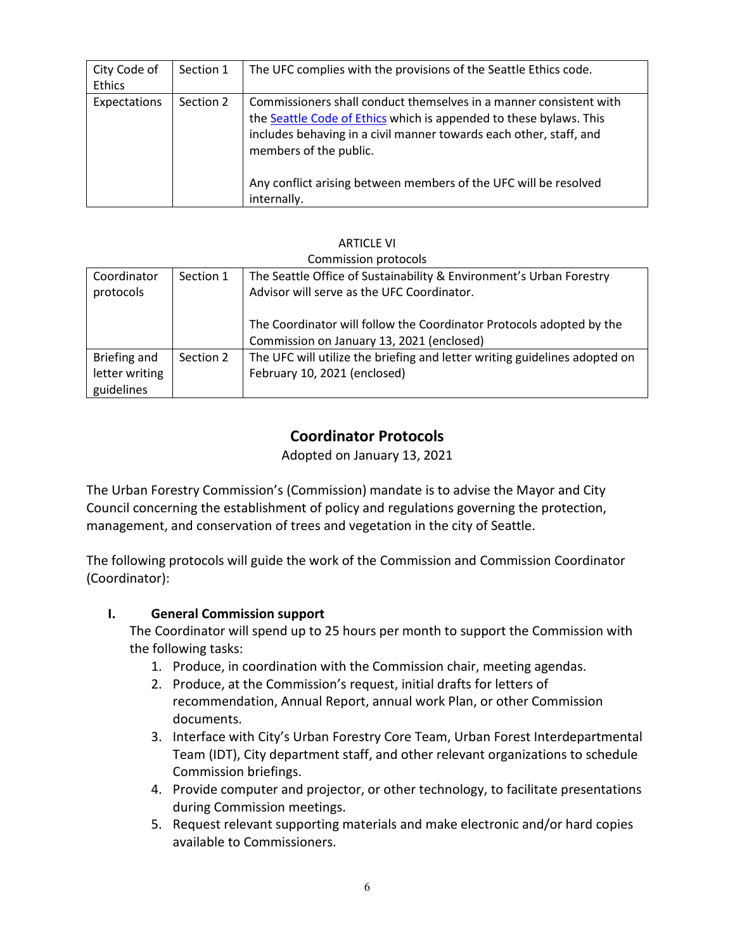| City Code of<br>Ethics | Section 1 | The UFC complies with the provisions of the Seattle Ethics code.                                                                                                                                                                                                                                                            |
|------------------------|-----------|-----------------------------------------------------------------------------------------------------------------------------------------------------------------------------------------------------------------------------------------------------------------------------------------------------------------------------|
| Expectations           | Section 2 | Commissioners shall conduct themselves in a manner consistent with<br>the Seattle Code of Ethics which is appended to these bylaws. This<br>includes behaving in a civil manner towards each other, staff, and<br>members of the public.<br>Any conflict arising between members of the UFC will be resolved<br>internally. |

# ARTICLE VI

#### Commission protocols

| Coordinator    | Section 1 | The Seattle Office of Sustainability & Environment's Urban Forestry        |
|----------------|-----------|----------------------------------------------------------------------------|
| protocols      |           | Advisor will serve as the UFC Coordinator.                                 |
|                |           |                                                                            |
|                |           | The Coordinator will follow the Coordinator Protocols adopted by the       |
|                |           | Commission on January 13, 2021 (enclosed)                                  |
| Briefing and   | Section 2 | The UFC will utilize the briefing and letter writing guidelines adopted on |
| letter writing |           | February 10, 2021 (enclosed)                                               |
| guidelines     |           |                                                                            |

# **Coordinator Protocols**

Adopted on January 13, 2021

The Urban Forestry Commission's (Commission) mandate is to advise the Mayor and City Council concerning the establishment of policy and regulations governing the protection, management, and conservation of trees and vegetation in the city of Seattle.

The following protocols will guide the work of the Commission and Commission Coordinator (Coordinator):

#### **I. General Commission support**

The Coordinator will spend up to 25 hours per month to support the Commission with the following tasks:

- 1. Produce, in coordination with the Commission chair, meeting agendas.
- 2. Produce, at the Commission's request, initial drafts for letters of recommendation, Annual Report, annual work Plan, or other Commission documents.
- 3. Interface with City's Urban Forestry Core Team, Urban Forest Interdepartmental Team (IDT), City department staff, and other relevant organizations to schedule Commission briefings.
- 4. Provide computer and projector, or other technology, to facilitate presentations during Commission meetings.
- 5. Request relevant supporting materials and make electronic and/or hard copies available to Commissioners.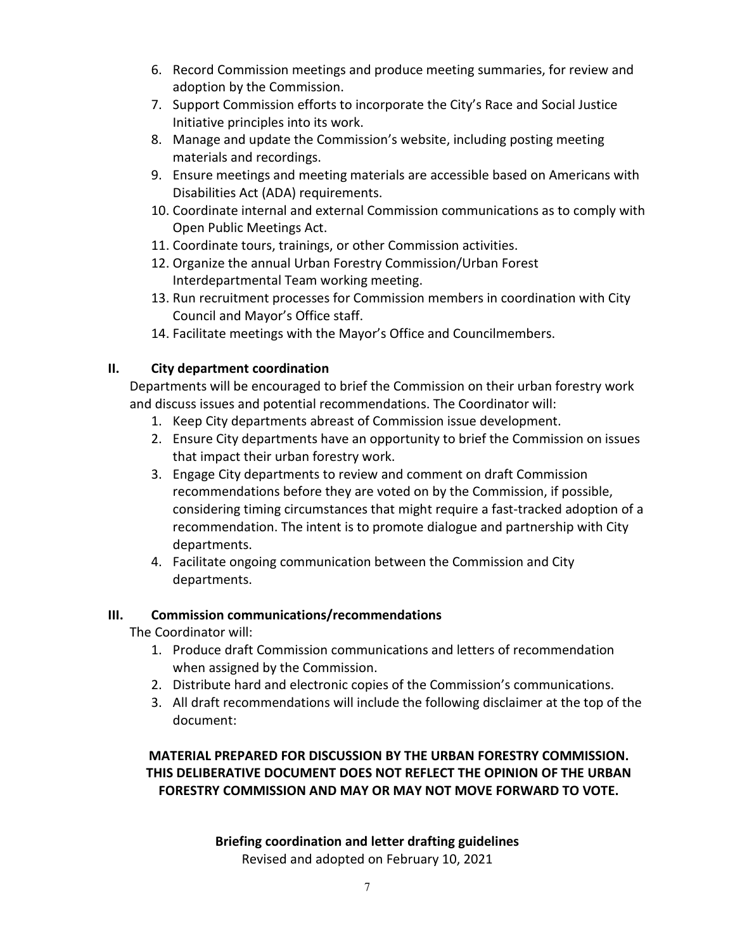- 6. Record Commission meetings and produce meeting summaries, for review and adoption by the Commission.
- 7. Support Commission efforts to incorporate the City's Race and Social Justice Initiative principles into its work.
- 8. Manage and update the Commission's website, including posting meeting materials and recordings.
- 9. Ensure meetings and meeting materials are accessible based on Americans with Disabilities Act (ADA) requirements.
- 10. Coordinate internal and external Commission communications as to comply with Open Public Meetings Act.
- 11. Coordinate tours, trainings, or other Commission activities.
- 12. Organize the annual Urban Forestry Commission/Urban Forest Interdepartmental Team working meeting.
- 13. Run recruitment processes for Commission members in coordination with City Council and Mayor's Office staff.
- 14. Facilitate meetings with the Mayor's Office and Councilmembers.

## **II. City department coordination**

Departments will be encouraged to brief the Commission on their urban forestry work and discuss issues and potential recommendations. The Coordinator will:

- 1. Keep City departments abreast of Commission issue development.
- 2. Ensure City departments have an opportunity to brief the Commission on issues that impact their urban forestry work.
- 3. Engage City departments to review and comment on draft Commission recommendations before they are voted on by the Commission, if possible, considering timing circumstances that might require a fast-tracked adoption of a recommendation. The intent is to promote dialogue and partnership with City departments.
- 4. Facilitate ongoing communication between the Commission and City departments.

#### **III. Commission communications/recommendations**

The Coordinator will:

- 1. Produce draft Commission communications and letters of recommendation when assigned by the Commission.
- 2. Distribute hard and electronic copies of the Commission's communications.
- 3. All draft recommendations will include the following disclaimer at the top of the document:

## **MATERIAL PREPARED FOR DISCUSSION BY THE URBAN FORESTRY COMMISSION. THIS DELIBERATIVE DOCUMENT DOES NOT REFLECT THE OPINION OF THE URBAN FORESTRY COMMISSION AND MAY OR MAY NOT MOVE FORWARD TO VOTE.**

# **Briefing coordination and letter drafting guidelines**

Revised and adopted on February 10, 2021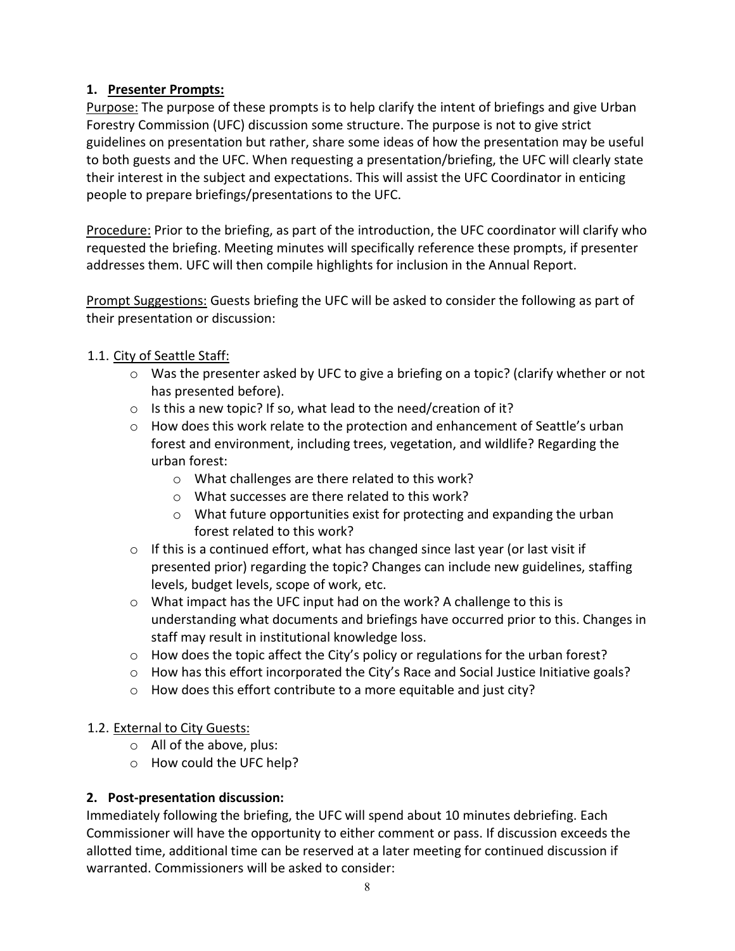## **1. Presenter Prompts:**

Purpose: The purpose of these prompts is to help clarify the intent of briefings and give Urban Forestry Commission (UFC) discussion some structure. The purpose is not to give strict guidelines on presentation but rather, share some ideas of how the presentation may be useful to both guests and the UFC. When requesting a presentation/briefing, the UFC will clearly state their interest in the subject and expectations. This will assist the UFC Coordinator in enticing people to prepare briefings/presentations to the UFC.

Procedure: Prior to the briefing, as part of the introduction, the UFC coordinator will clarify who requested the briefing. Meeting minutes will specifically reference these prompts, if presenter addresses them. UFC will then compile highlights for inclusion in the Annual Report.

Prompt Suggestions: Guests briefing the UFC will be asked to consider the following as part of their presentation or discussion:

## 1.1. City of Seattle Staff:

- o Was the presenter asked by UFC to give a briefing on a topic? (clarify whether or not has presented before).
- o Is this a new topic? If so, what lead to the need/creation of it?
- $\circ$  How does this work relate to the protection and enhancement of Seattle's urban forest and environment, including trees, vegetation, and wildlife? Regarding the urban forest:
	- o What challenges are there related to this work?
	- o What successes are there related to this work?
	- o What future opportunities exist for protecting and expanding the urban forest related to this work?
- $\circ$  If this is a continued effort, what has changed since last year (or last visit if presented prior) regarding the topic? Changes can include new guidelines, staffing levels, budget levels, scope of work, etc.
- o What impact has the UFC input had on the work? A challenge to this is understanding what documents and briefings have occurred prior to this. Changes in staff may result in institutional knowledge loss.
- $\circ$  How does the topic affect the City's policy or regulations for the urban forest?
- o How has this effort incorporated the City's Race and Social Justice Initiative goals?
- o How does this effort contribute to a more equitable and just city?

#### 1.2. External to City Guests:

- o All of the above, plus:
- o How could the UFC help?

#### **2. Post-presentation discussion:**

Immediately following the briefing, the UFC will spend about 10 minutes debriefing. Each Commissioner will have the opportunity to either comment or pass. If discussion exceeds the allotted time, additional time can be reserved at a later meeting for continued discussion if warranted. Commissioners will be asked to consider: